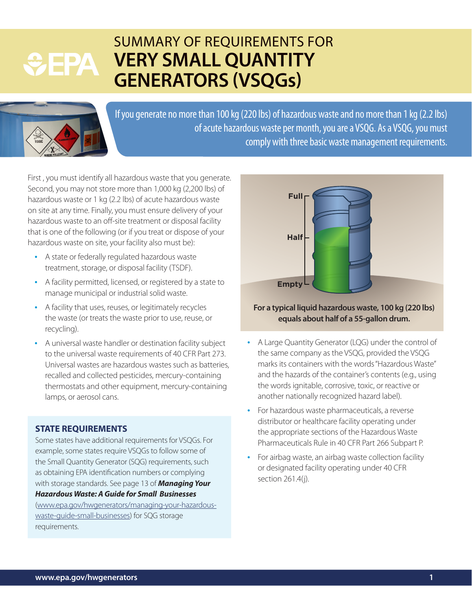# **GEPA**

## SUMMARY OF REQUIREMENTS FOR **VERY SMALL QUANTITY GENERATORS (VSQGs)**



If you generate no more than 100 kg (220 lbs) of hazardous waste and no more than 1 kg (2.2 lbs) of acute hazardous waste per month, you are a VSQG. As a VSQG, you must comply with three basic waste management requirements.

First , you must identify all hazardous waste that you generate. Second, you may not store more than 1,000 kg (2,200 lbs) of hazardous waste or 1 kg (2.2 lbs) of acute hazardous waste on site at any time. Finally, you must ensure delivery of your hazardous waste to an off-site treatment or disposal facility that is one of the following (or if you treat or dispose of your hazardous waste on site, your facility also must be):

- A state or federally regulated hazardous waste treatment, storage, or disposal facility (TSDF).
- A facility permitted, licensed, or registered by a state to manage municipal or industrial solid waste.
- A facility that uses, reuses, or legitimately recycles the waste (or treats the waste prior to use, reuse, or recycling).
- A universal waste handler or destination facility subject to the universal waste requirements of 40 CFR Part 273. Universal wastes are hazardous wastes such as batteries, recalled and collected pesticides, mercury-containing thermostats and other equipment, mercury-containing lamps, or aerosol cans.

### **STATE REQUIREMENTS**

Some states have additional requirements for VSQGs. For example, some states require VSQGs to follow some of the Small Quantity Generator (SQG) requirements, such as obtaining EPA identification numbers or complying with storage standards. See page 13 of *Managing Your Hazardous Waste: A Guide for Small Businesses* [\(www.epa.gov/hwgenerators/managing-your-hazardous](https://www.epa.gov/hwgenerators/managing-your-hazardous-waste-guide-small-businesses)[waste-guide-small-businesses\)](https://www.epa.gov/hwgenerators/managing-your-hazardous-waste-guide-small-businesses) for SQG storage requirements.



#### **For a typical liquid hazardous waste, 100 kg (220 lbs) equals about half of a 55-gallon drum.**

- A Large Quantity Generator (LQG) under the control of the same company as the VSQG, provided the VSQG marks its containers with the words "Hazardous Waste" and the hazards of the container's contents (e.g., using the words ignitable, corrosive, toxic, or reactive or another nationally recognized hazard label).
- For hazardous waste pharmaceuticals, a reverse distributor or healthcare facility operating under the appropriate sections of the Hazardous Waste Pharmaceuticals Rule in 40 CFR Part 266 Subpart P.
- For airbag waste, an airbag waste collection facility or designated facility operating under 40 CFR section 261.4(j).